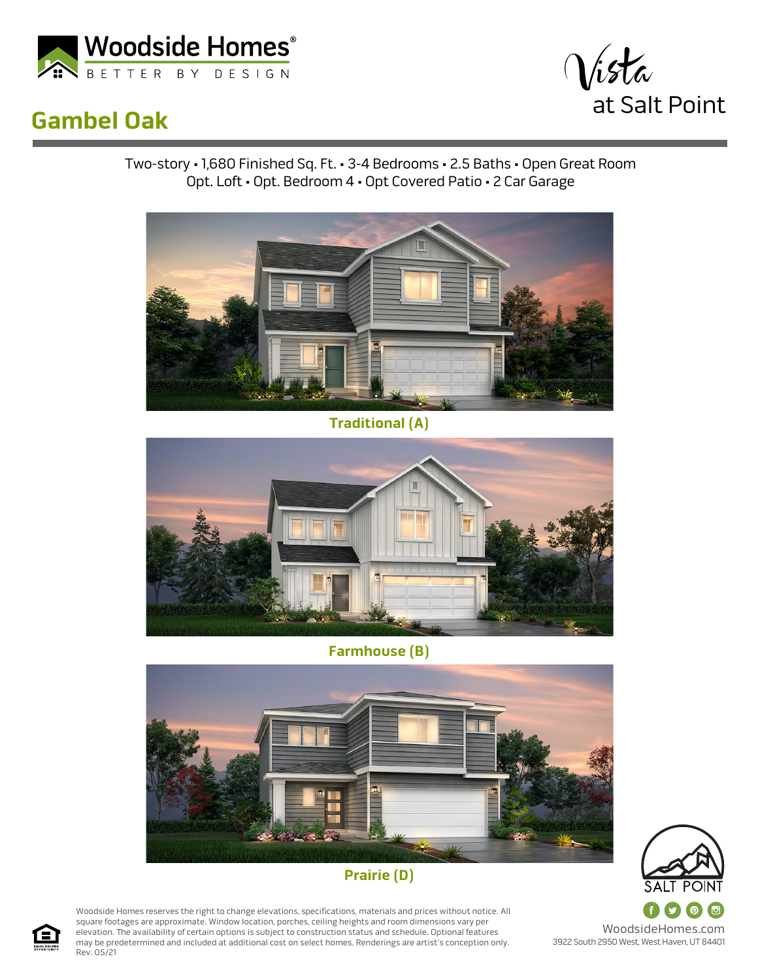

## **Gambel Oak**



Two-story • 1,680 Finished Sq. Ft. • 3-4 Bedrooms • 2.5 Baths • Open Great Room Opt. Loft • Opt. Bedroom 4 • Opt Covered Patio • 2 Car Garage



**Traditional (A)**



**Farmhouse (B)**





Woodside Homes reserves the right to change elevations, specifications, materials and prices without notice. All square footages are approximate. Window location, porches, ceiling heights and room dimensions vary per elevation. The availability of certain options is subject to construction status and schedule. Optional features may be predetermined and included at additional cost on select homes. Renderings are artist's conception only. Rev. 05/21